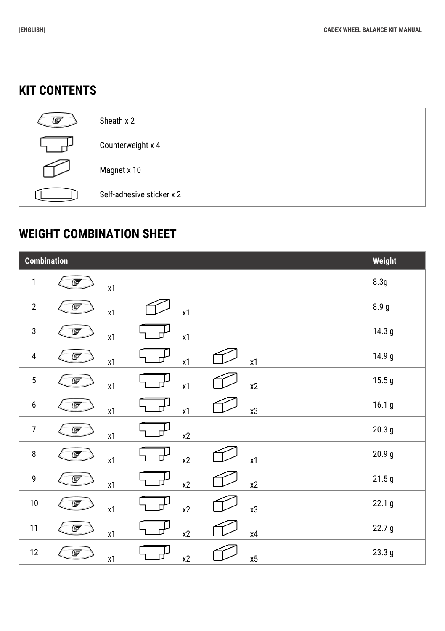## **KIT CONTENTS**

| (G | Sheath x 2                |
|----|---------------------------|
|    | Counterweight x 4         |
|    | Magnet x 10               |
|    | Self-adhesive sticker x 2 |

## **WEIGHT COMBINATION SHEET**

| <b>Combination</b> |                                                                                     |                   |
|--------------------|-------------------------------------------------------------------------------------|-------------------|
| $\mathbf{1}$       | G<br>$\pmb{\mathsf{x}}\pmb{\mathsf{1}}$                                             | 8.3g              |
| $\overline{2}$     | G<br>$\pmb{\mathsf{x}}\pmb{\mathsf{1}}$<br>$\pmb{\mathsf{x}}\pmb{\mathsf{1}}$       | 8.9 <sub>g</sub>  |
| $\mathbf{3}$       | G<br>$\pmb{\mathsf{x}}\pmb{\mathsf{1}}$<br>$\pmb{\mathsf{x}}\pmb{\mathsf{1}}$       | 14.3 <sub>g</sub> |
| 4                  | G<br>x1<br>$\pmb{\mathsf{x}}\pmb{\mathsf{1}}$<br>$\pmb{\mathsf{x}}\pmb{\mathsf{1}}$ | 14.9 g            |
| 5                  | G<br>x1<br>x2<br>$\pmb{\mathsf{x}}\pmb{\mathsf{1}}$                                 | 15.5g             |
| 6                  | G<br>х3<br>$\pmb{\mathsf{x}}\pmb{\mathsf{1}}$<br>x1                                 | 16.1 <sub>g</sub> |
| $\overline{7}$     | G<br>$\pmb{\mathsf{x}}\pmb{\mathsf{1}}$<br>$x2$                                     | 20.3 <sub>g</sub> |
| 8                  | G<br>x1<br>$\mathsf{x}2$<br>$\pmb{\mathsf{x}}\pmb{\mathsf{1}}$                      | 20.9 <sub>g</sub> |
| 9                  | G<br>$\mathsf{x}2$<br>$\pmb{\mathsf{x}}\pmb{\mathsf{1}}$<br>x2                      | 21.5g             |
| $10\,$             | G<br>x2<br>х3<br>x1                                                                 | 22.1 <sub>g</sub> |
| 11                 | G<br>$\mathsf{x}2$<br>$\pmb{\mathsf{x}}\pmb{\mathsf{1}}$<br>χ4                      | 22.7 <sub>g</sub> |
| 12                 | G<br>x2<br>х5<br>$\pmb{\mathsf{x}}\pmb{\mathsf{1}}$                                 | 23.3 g            |